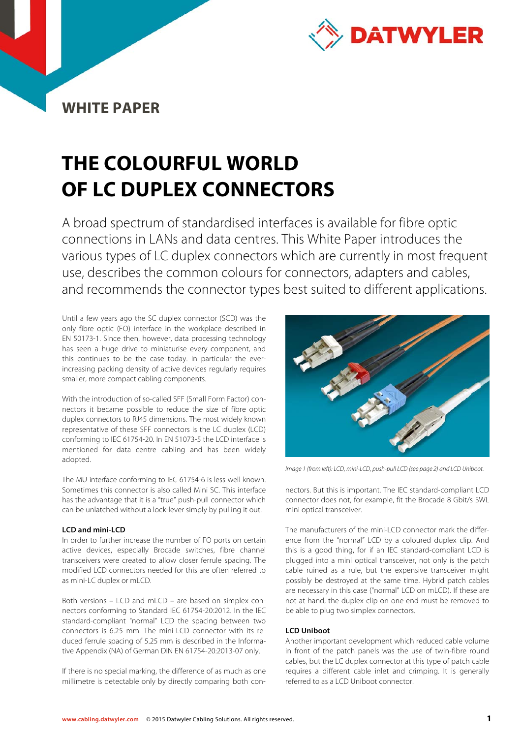

## **WHITE PAPER**

# **THE COLOURFUL WORLD OF LC DUPLEX CONNECTORS**

A broad spectrum of standardised interfaces is available for fibre optic connections in LANs and data centres. This White Paper introduces the various types of LC duplex connectors which are currently in most frequent use, describes the common colours for connectors, adapters and cables, and recommends the connector types best suited to different applications.

Until a few years ago the SC duplex connector (SCD) was the only fibre optic (FO) interface in the workplace described in EN 50173-1. Since then, however, data processing technology has seen a huge drive to miniaturise every component, and this continues to be the case today. In particular the everincreasing packing density of active devices regularly requires smaller, more compact cabling components.

With the introduction of so-called SFF (Small Form Factor) connectors it became possible to reduce the size of fibre optic duplex connectors to RJ45 dimensions. The most widely known representative of these SFF connectors is the LC duplex (LCD) conforming to IEC 61754-20. In EN 51073-5 the LCD interface is mentioned for data centre cabling and has been widely adopted.

The MU interface conforming to IEC 61754-6 is less well known. Sometimes this connector is also called Mini SC. This interface has the advantage that it is a "true" push-pull connector which can be unlatched without a lock-lever simply by pulling it out.

#### **LCD and mini-LCD**

In order to further increase the number of FO ports on certain active devices, especially Brocade switches, fibre channel transceivers were created to allow closer ferrule spacing. The modified LCD connectors needed for this are often referred to as mini-LC duplex or mLCD.

Both versions – LCD and mLCD – are based on simplex connectors conforming to Standard IEC 61754-20:2012. In the IEC standard-compliant "normal" LCD the spacing between two connectors is 6.25 mm. The mini-LCD connector with its reduced ferrule spacing of 5.25 mm is described in the Informative Appendix (NA) of German DIN EN 61754-20:2013-07 only.

If there is no special marking, the difference of as much as one millimetre is detectable only by directly comparing both con-



Image 1 (from left): LCD, mini-LCD, push-pull LCD (see page 2) and LCD Uniboot.

nectors. But this is important. The IEC standard-compliant LCD connector does not, for example, fit the Brocade 8 Gbit/s SWL mini optical transceiver.

The manufacturers of the mini-LCD connector mark the difference from the "normal" LCD by a coloured duplex clip. And this is a good thing, for if an IEC standard-compliant LCD is plugged into a mini optical transceiver, not only is the patch cable ruined as a rule, but the expensive transceiver might possibly be destroyed at the same time. Hybrid patch cables are necessary in this case ("normal" LCD on mLCD). If these are not at hand, the duplex clip on one end must be removed to be able to plug two simplex connectors.

### **LCD Uniboot**

Another important development which reduced cable volume in front of the patch panels was the use of twin-fibre round cables, but the LC duplex connector at this type of patch cable requires a different cable inlet and crimping. It is generally referred to as a LCD Uniboot connector.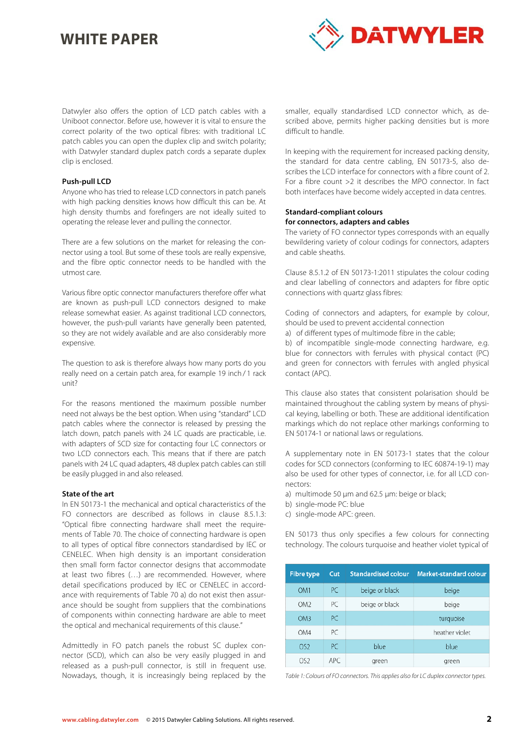## **WHITE PAPER**



Datwyler also offers the option of LCD patch cables with a Uniboot connector. Before use, however it is vital to ensure the correct polarity of the two optical fibres: with traditional LC patch cables you can open the duplex clip and switch polarity; with Datwyler standard duplex patch cords a separate duplex clip is enclosed.

#### **Push-pull LCD**

Anyone who has tried to release LCD connectors in patch panels with high packing densities knows how difficult this can be. At high density thumbs and forefingers are not ideally suited to operating the release lever and pulling the connector.

There are a few solutions on the market for releasing the connector using a tool. But some of these tools are really expensive, and the fibre optic connector needs to be handled with the utmost care.

Various fibre optic connector manufacturers therefore offer what are known as push-pull LCD connectors designed to make release somewhat easier. As against traditional LCD connectors, however, the push-pull variants have generally been patented, so they are not widely available and are also considerably more expensive.

The question to ask is therefore always how many ports do you really need on a certain patch area, for example 19 inch / 1 rack unit?

For the reasons mentioned the maximum possible number need not always be the best option. When using "standard" LCD patch cables where the connector is released by pressing the latch down, patch panels with 24 LC quads are practicable, i.e. with adapters of SCD size for contacting four LC connectors or two LCD connectors each. This means that if there are patch panels with 24 LC quad adapters, 48 duplex patch cables can still be easily plugged in and also released.

#### **State of the art**

In EN 50173-1 the mechanical and optical characteristics of the FO connectors are described as follows in clause 8.5.1.3: "Optical fibre connecting hardware shall meet the requirements of Table 70. The choice of connecting hardware is open to all types of optical fibre connectors standardised by IEC or CENELEC. When high density is an important consideration then small form factor connector designs that accommodate at least two fibres (…) are recommended. However, where detail specifications produced by IEC or CENELEC in accordance with requirements of Table 70 a) do not exist then assurance should be sought from suppliers that the combinations of components within connecting hardware are able to meet the optical and mechanical requirements of this clause."

Admittedly in FO patch panels the robust SC duplex connector (SCD), which can also be very easily plugged in and released as a push-pull connector, is still in frequent use. Nowadays, though, it is increasingly being replaced by the smaller, equally standardised LCD connector which, as described above, permits higher packing densities but is more difficult to handle.

In keeping with the requirement for increased packing density, the standard for data centre cabling, EN 50173-5, also describes the LCD interface for connectors with a fibre count of 2. For a fibre count >2 it describes the MPO connector. In fact both interfaces have become widely accepted in data centres.

#### **Standard-compliant colours for connectors, adapters and cables**

The variety of FO connector types corresponds with an equally bewildering variety of colour codings for connectors, adapters and cable sheaths.

Clause 8.5.1.2 of EN 50173-1:2011 stipulates the colour coding and clear labelling of connectors and adapters for fibre optic connections with quartz glass fibres:

Coding of connectors and adapters, for example by colour, should be used to prevent accidental connection

a) of different types of multimode fibre in the cable;

b) of incompatible single-mode connecting hardware, e.g. blue for connectors with ferrules with physical contact (PC) and green for connectors with ferrules with angled physical contact (APC).

This clause also states that consistent polarisation should be maintained throughout the cabling system by means of physical keying, labelling or both. These are additional identification markings which do not replace other markings conforming to EN 50174-1 or national laws or regulations.

A supplementary note in EN 50173-1 states that the colour codes for SCD connectors (conforming to IEC 60874-19-1) may also be used for other types of connector, i.e. for all LCD connectors:

- a) multimode 50 μm and 62.5 μm: beige or black;
- b) single-mode PC: blue
- c) single-mode APC: green.

EN 50173 thus only specifies a few colours for connecting technology. The colours turquoise and heather violet typical of

| <b>Fibre type</b> | Cut       | <b>Standardised colour</b> | <b>Market-standard colour</b> |
|-------------------|-----------|----------------------------|-------------------------------|
| OM <sub>1</sub>   | PC        | beige or black             | beige                         |
| OM <sub>2</sub>   | PC        | beige or black             | beige                         |
| OM3               | <b>PC</b> |                            | turquoise                     |
| OM4               | РC        |                            | heather violet                |
| OS <sub>2</sub>   | PC.       | blue                       | blue                          |
| OS <sub>2</sub>   | APC.      | green                      | green                         |

Table 1: Colours of FO connectors. This applies also for LC duplex connector types.